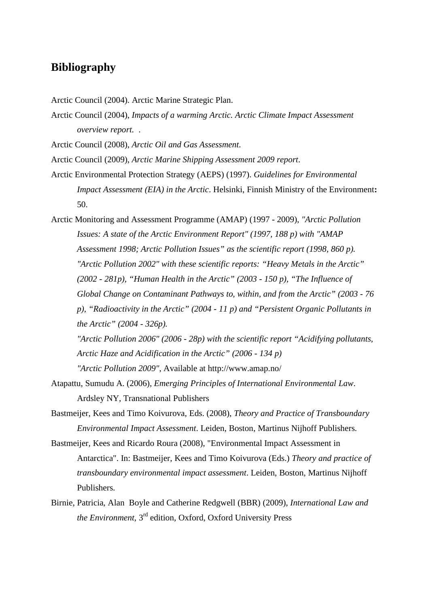## **Bibliography**

Arctic Council (2004). Arctic Marine Strategic Plan.

Arctic Council (2004), *Impacts of a warming Arctic. Arctic Climate Impact Assessment overview report.* .

Arctic Council (2008), *Arctic Oil and Gas Assessment*.

Arctic Council (2009), *Arctic Marine Shipping Assessment 2009 report*.

- Arctic Environmental Protection Strategy (AEPS) (1997). *Guidelines for Environmental Impact Assessment (EIA) in the Arctic*. Helsinki, Finnish Ministry of the Environment**:**  50.
- Arctic Monitoring and Assessment Programme (AMAP) (1997 2009), *"Arctic Pollution Issues: A state of the Arctic Environment Report" (1997, 188 p) with "AMAP Assessment 1998; Arctic Pollution Issues" as the scientific report (1998, 860 p). "Arctic Pollution 2002" with these scientific reports: "Heavy Metals in the Arctic" (2002 - 281p), "Human Health in the Arctic" (2003 - 150 p), "The Influence of Global Change on Contaminant Pathways to, within, and from the Arctic" (2003 - 76 p), "Radioactivity in the Arctic" (2004 - 11 p) and "Persistent Organic Pollutants in the Arctic" (2004 - 326p).*

*"Arctic Pollution 2006" (2006 - 28p) with the scientific report "Acidifying pollutants, Arctic Haze and Acidification in the Arctic" (2006 - 134 p) "Arctic Pollution 2009"*, Available at http://www.amap.no/

- Atapattu, Sumudu A. (2006), *Emerging Principles of International Environmental Law*. Ardsley NY, Transnational Publishers
- Bastmeijer, Kees and Timo Koivurova, Eds. (2008), *Theory and Practice of Transboundary Environmental Impact Assessment*. Leiden, Boston, Martinus Nijhoff Publishers.
- Bastmeijer, Kees and Ricardo Roura (2008), "Environmental Impact Assessment in Antarctica". In: Bastmeijer, Kees and Timo Koivurova (Eds.) *Theory and practice of transboundary environmental impact assessment*. Leiden, Boston, Martinus Nijhoff Publishers.
- Birnie, Patricia, Alan Boyle and Catherine Redgwell (BBR) (2009), *International Law and the Environment*, 3rd edition, Oxford, Oxford University Press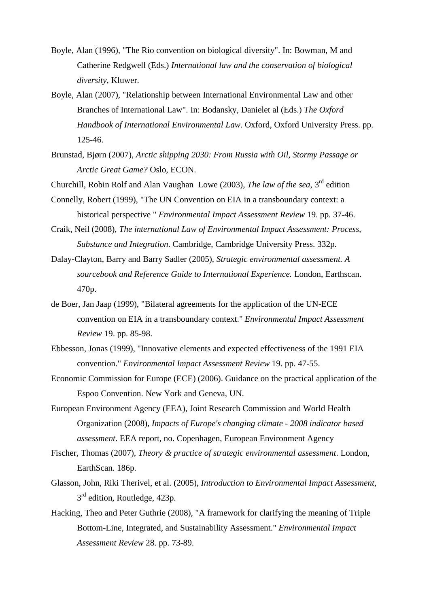- Boyle, Alan (1996), "The Rio convention on biological diversity". In: Bowman, M and Catherine Redgwell (Eds.) *International law and the conservation of biological diversity*, Kluwer.
- Boyle, Alan (2007), "Relationship between International Environmental Law and other Branches of International Law". In: Bodansky, Danielet al (Eds.) *The Oxford Handbook of International Environmental Law*. Oxford, Oxford University Press. pp. 125-46.
- Brunstad, Bjørn (2007), *Arctic shipping 2030: From Russia with Oil, Stormy Passage or Arctic Great Game?* Oslo, ECON.
- Churchill, Robin Rolf and Alan Vaughan Lowe (2003), *The law of the sea*, 3rd edition
- Connelly, Robert (1999), "The UN Convention on EIA in a transboundary context: a historical perspective " *Environmental Impact Assessment Review* 19. pp. 37-46.
- Craik, Neil (2008), *The international Law of Environmental Impact Assessment: Process, Substance and Integration*. Cambridge, Cambridge University Press. 332p.
- Dalay-Clayton, Barry and Barry Sadler (2005), *Strategic environmental assessment. A sourcebook and Reference Guide to International Experience.* London, Earthscan. 470p.
- de Boer, Jan Jaap (1999), "Bilateral agreements for the application of the UN-ECE convention on EIA in a transboundary context." *Environmental Impact Assessment Review* 19. pp. 85-98.
- Ebbesson, Jonas (1999), "Innovative elements and expected effectiveness of the 1991 EIA convention." *Environmental Impact Assessment Review* 19. pp. 47-55.
- Economic Commission for Europe (ECE) (2006). Guidance on the practical application of the Espoo Convention. New York and Geneva, UN.
- European Environment Agency (EEA), Joint Research Commission and World Health Organization (2008), *Impacts of Europe's changing climate - 2008 indicator based assessment*. EEA report, no. Copenhagen, European Environment Agency
- Fischer, Thomas (2007), *Theory & practice of strategic environmental assessment*. London, EarthScan. 186p.
- Glasson, John, Riki Therivel, et al. (2005), *Introduction to Environmental Impact Assessment*, 3<sup>rd</sup> edition, Routledge, 423p.
- Hacking, Theo and Peter Guthrie (2008), "A framework for clarifying the meaning of Triple Bottom-Line, Integrated, and Sustainability Assessment." *Environmental Impact Assessment Review* 28. pp. 73-89.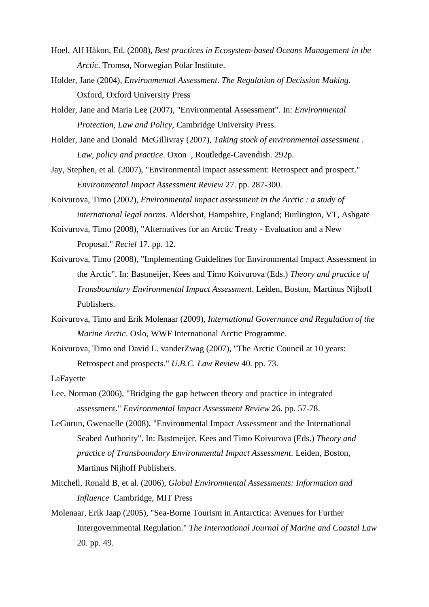- Hoel, Alf Håkon, Ed. (2008), *Best practices in Ecosystem-based Oceans Management in the Arctic*. Tromsø, Norwegian Polar Institute.
- Holder, Jane (2004), *Environmental Assessment. The Regulation of Decission Making.* Oxford, Oxford University Press
- Holder, Jane and Maria Lee (2007), "Environmental Assessment". In: *Environmental Protection, Law and Policy*, Cambridge University Press.
- Holder, Jane and Donald McGillivray (2007), *Taking stock of environmental assessment . Law, policy and practice*. Oxon , Routledge-Cavendish. 292p.
- Jay, Stephen, et al. (2007), "Environmental impact assessment: Retrospect and prospect." *Environmental Impact Assessment Review* 27. pp. 287-300.
- Koivurova, Timo (2002), *Environmental impact assessment in the Arctic : a study of international legal norms*. Aldershot, Hampshire, England; Burlington, VT, Ashgate
- Koivurova, Timo (2008), "Alternatives for an Arctic Treaty Evaluation and a New Proposal." *Reciel* 17. pp. 12.
- Koivurova, Timo (2008), "Implementing Guidelines for Environmental Impact Assessment in the Arctic". In: Bastmeijer, Kees and Timo Koivurova (Eds.) *Theory and practice of Transboundary Environmental Impact Assessment*. Leiden, Boston, Martinus Nijhoff Publishers.
- Koivurova, Timo and Erik Molenaar (2009), *International Governance and Regulation of the Marine Arctic*. Oslo, WWF International Arctic Programme.
- Koivurova, Timo and David L. vanderZwag (2007), "The Arctic Council at 10 years: Retrospect and prospects." *U.B.C. Law Review* 40. pp. 73.

LaFayette

- Lee, Norman (2006), "Bridging the gap between theory and practice in integrated assessment." *Environmental Impact Assessment Review* 26. pp. 57-78.
- LeGurun, Gwenaelle (2008), "Environmental Impact Assessment and the International Seabed Authority". In: Bastmeijer, Kees and Timo Koivurova (Eds.) *Theory and practice of Transboundary Environmental Impact Assessment*. Leiden, Boston, Martinus Nijhoff Publishers.
- Mitchell, Ronald B, et al. (2006), *Global Environmental Assessments: Information and Influence* Cambridge, MIT Press
- Molenaar, Erik Jaap (2005), "Sea-Borne Tourism in Antarctica: Avenues for Further Intergovernmental Regulation." *The International Journal of Marine and Coastal Law*  20. pp. 49.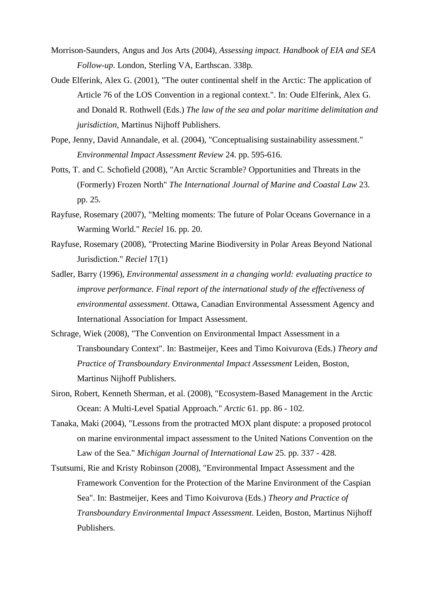- Morrison-Saunders, Angus and Jos Arts (2004), *Assessing impact. Handbook of EIA and SEA Follow-up*. London, Sterling VA, Earthscan. 338p.
- Oude Elferink, Alex G. (2001), "The outer continental shelf in the Arctic: The application of Article 76 of the LOS Convention in a regional context.". In: Oude Elferink, Alex G. and Donald R. Rothwell (Eds.) *The law of the sea and polar maritime delimitation and jurisdiction*, Martinus Nijhoff Publishers.
- Pope, Jenny, David Annandale, et al. (2004), "Conceptualising sustainability assessment." *Environmental Impact Assessment Review* 24. pp. 595-616.
- Potts, T. and C. Schofield (2008), "An Arctic Scramble? Opportunities and Threats in the (Formerly) Frozen North" *The International Journal of Marine and Coastal Law* 23. pp. 25.
- Rayfuse, Rosemary (2007), "Melting moments: The future of Polar Oceans Governance in a Warming World." *Reciel* 16. pp. 20.
- Rayfuse, Rosemary (2008), "Protecting Marine Biodiversity in Polar Areas Beyond National Jurisdiction." *Reciel* 17(1)
- Sadler, Barry (1996), *Environmental assessment in a changing world: evaluating practice to improve performance. Final report of the international study of the effectiveness of environmental assessment*. Ottawa, Canadian Environmental Assessment Agency and International Association for Impact Assessment.
- Schrage, Wiek (2008), "The Convention on Environmental Impact Assessment in a Transboundary Context". In: Bastmeijer, Kees and Timo Koivurova (Eds.) *Theory and Practice of Transboundary Environmental Impact Assessment* Leiden, Boston, Martinus Nijhoff Publishers.
- Siron, Robert, Kenneth Sherman, et al. (2008), "Ecosystem-Based Management in the Arctic Ocean: A Multi-Level Spatial Approach." *Arctic* 61. pp. 86 - 102.
- Tanaka, Maki (2004), "Lessons from the protracted MOX plant dispute: a proposed protocol on marine environmental impact assessment to the United Nations Convention on the Law of the Sea." *Michigan Journal of International Law* 25. pp. 337 - 428.
- Tsutsumi, Rie and Kristy Robinson (2008), "Environmental Impact Assessment and the Framework Convention for the Protection of the Marine Environment of the Caspian Sea". In: Bastmeijer, Kees and Timo Koivurova (Eds.) *Theory and Practice of Transboundary Environmental Impact Assessment*. Leiden, Boston, Martinus Nijhoff Publishers.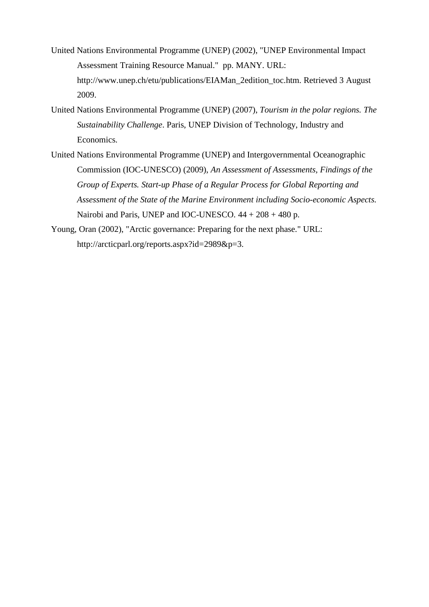- United Nations Environmental Programme (UNEP) (2002), "UNEP Environmental Impact Assessment Training Resource Manual." pp. MANY. URL: http://www.unep.ch/etu/publications/EIAMan\_2edition\_toc.htm. Retrieved 3 August 2009.
- United Nations Environmental Programme (UNEP) (2007), *Tourism in the polar regions. The Sustainability Challenge*. Paris, UNEP Division of Technology, Industry and Economics.
- United Nations Environmental Programme (UNEP) and Intergovernmental Oceanographic Commission (IOC-UNESCO) (2009), *An Assessment of Assessments, Findings of the Group of Experts. Start-up Phase of a Regular Process for Global Reporting and Assessment of the State of the Marine Environment including Socio-economic Aspects.* Nairobi and Paris, UNEP and IOC-UNESCO. 44 + 208 + 480 p.
- Young, Oran (2002), "Arctic governance: Preparing for the next phase." URL: http://arcticparl.org/reports.aspx?id=2989&p=3.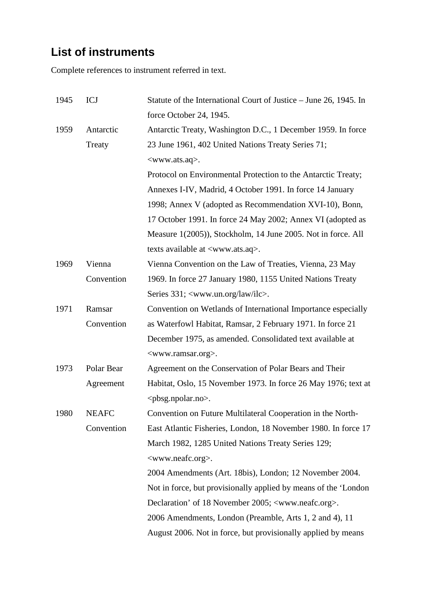## **List of instruments**

Complete references to instrument referred in text.

| 1945 | ICJ          | Statute of the International Court of Justice – June 26, 1945. In  |  |  |  |  |  |  |  |  |  |
|------|--------------|--------------------------------------------------------------------|--|--|--|--|--|--|--|--|--|
|      |              | force October 24, 1945.                                            |  |  |  |  |  |  |  |  |  |
| 1959 | Antarctic    | Antarctic Treaty, Washington D.C., 1 December 1959. In force       |  |  |  |  |  |  |  |  |  |
|      | Treaty       | 23 June 1961, 402 United Nations Treaty Series 71;                 |  |  |  |  |  |  |  |  |  |
|      |              | <www.ats.aq>.</www.ats.aq>                                         |  |  |  |  |  |  |  |  |  |
|      |              | Protocol on Environmental Protection to the Antarctic Treaty;      |  |  |  |  |  |  |  |  |  |
|      |              | Annexes I-IV, Madrid, 4 October 1991. In force 14 January          |  |  |  |  |  |  |  |  |  |
|      |              | 1998; Annex V (adopted as Recommendation XVI-10), Bonn,            |  |  |  |  |  |  |  |  |  |
|      |              | 17 October 1991. In force 24 May 2002; Annex VI (adopted as        |  |  |  |  |  |  |  |  |  |
|      |              | Measure 1(2005)), Stockholm, 14 June 2005. Not in force. All       |  |  |  |  |  |  |  |  |  |
|      |              | texts available at <www.ats.aq>.</www.ats.aq>                      |  |  |  |  |  |  |  |  |  |
| 1969 | Vienna       | Vienna Convention on the Law of Treaties, Vienna, 23 May           |  |  |  |  |  |  |  |  |  |
|      | Convention   | 1969. In force 27 January 1980, 1155 United Nations Treaty         |  |  |  |  |  |  |  |  |  |
|      |              | Series 331; <www.un.org ilc="" law="">.</www.un.org>               |  |  |  |  |  |  |  |  |  |
| 1971 | Ramsar       | Convention on Wetlands of International Importance especially      |  |  |  |  |  |  |  |  |  |
|      | Convention   | as Waterfowl Habitat, Ramsar, 2 February 1971. In force 21         |  |  |  |  |  |  |  |  |  |
|      |              | December 1975, as amended. Consolidated text available at          |  |  |  |  |  |  |  |  |  |
|      |              | <www.ramsar.org>.</www.ramsar.org>                                 |  |  |  |  |  |  |  |  |  |
| 1973 | Polar Bear   | Agreement on the Conservation of Polar Bears and Their             |  |  |  |  |  |  |  |  |  |
|      | Agreement    | Habitat, Oslo, 15 November 1973. In force 26 May 1976; text at     |  |  |  |  |  |  |  |  |  |
|      |              | $<$ pbsg.npolar.no>.                                               |  |  |  |  |  |  |  |  |  |
| 1980 | <b>NEAFC</b> | Convention on Future Multilateral Cooperation in the North-        |  |  |  |  |  |  |  |  |  |
|      | Convention   | East Atlantic Fisheries, London, 18 November 1980. In force 17     |  |  |  |  |  |  |  |  |  |
|      |              | March 1982, 1285 United Nations Treaty Series 129;                 |  |  |  |  |  |  |  |  |  |
|      |              | <www.neafc.org>.</www.neafc.org>                                   |  |  |  |  |  |  |  |  |  |
|      |              | 2004 Amendments (Art. 18bis), London; 12 November 2004.            |  |  |  |  |  |  |  |  |  |
|      |              | Not in force, but provisionally applied by means of the 'London    |  |  |  |  |  |  |  |  |  |
|      |              | Declaration' of 18 November 2005; <www.neafc.org>.</www.neafc.org> |  |  |  |  |  |  |  |  |  |
|      |              | 2006 Amendments, London (Preamble, Arts 1, 2 and 4), 11            |  |  |  |  |  |  |  |  |  |
|      |              | August 2006. Not in force, but provisionally applied by means      |  |  |  |  |  |  |  |  |  |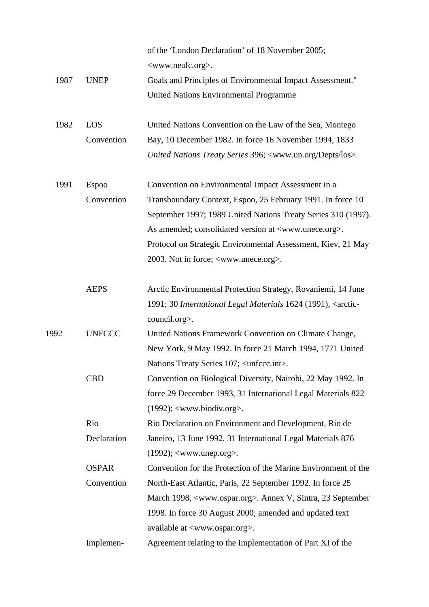|      |               | of the 'London Declaration' of 18 November 2005;<br><www.neafc.org>.</www.neafc.org> |  |  |  |  |  |  |  |
|------|---------------|--------------------------------------------------------------------------------------|--|--|--|--|--|--|--|
| 1987 | <b>UNEP</b>   | Goals and Principles of Environmental Impact Assessment."                            |  |  |  |  |  |  |  |
|      |               | <b>United Nations Environmental Programme</b>                                        |  |  |  |  |  |  |  |
|      |               |                                                                                      |  |  |  |  |  |  |  |
| 1982 | LOS           | United Nations Convention on the Law of the Sea, Montego                             |  |  |  |  |  |  |  |
|      | Convention    | Bay, 10 December 1982. In force 16 November 1994, 1833                               |  |  |  |  |  |  |  |
|      |               | United Nations Treaty Series 396; <www.un.org depts="" los="">.</www.un.org>         |  |  |  |  |  |  |  |
| 1991 | <b>Espoo</b>  | Convention on Environmental Impact Assessment in a                                   |  |  |  |  |  |  |  |
|      | Convention    | Transboundary Context, Espoo, 25 February 1991. In force 10                          |  |  |  |  |  |  |  |
|      |               | September 1997; 1989 United Nations Treaty Series 310 (1997).                        |  |  |  |  |  |  |  |
|      |               | As amended; consolidated version at <www.unece.org>.</www.unece.org>                 |  |  |  |  |  |  |  |
|      |               | Protocol on Strategic Environmental Assessment, Kiev, 21 May                         |  |  |  |  |  |  |  |
|      |               | 2003. Not in force; <www.unece.org>.</www.unece.org>                                 |  |  |  |  |  |  |  |
|      | <b>AEPS</b>   | Arctic Environmental Protection Strategy, Rovaniemi, 14 June                         |  |  |  |  |  |  |  |
|      |               | 1991; 30 International Legal Materials 1624 (1991), <arctic-< td=""></arctic-<>      |  |  |  |  |  |  |  |
|      |               | council.org>.                                                                        |  |  |  |  |  |  |  |
| 1992 | <b>UNFCCC</b> | United Nations Framework Convention on Climate Change,                               |  |  |  |  |  |  |  |
|      |               | New York, 9 May 1992. In force 21 March 1994, 1771 United                            |  |  |  |  |  |  |  |
|      |               | Nations Treaty Series 107; <unfccc.int></unfccc.int>                                 |  |  |  |  |  |  |  |
|      | <b>CBD</b>    | Convention on Biological Diversity, Nairobi, 22 May 1992. In                         |  |  |  |  |  |  |  |
|      |               | force 29 December 1993, 31 International Legal Materials 822                         |  |  |  |  |  |  |  |
|      |               | $(1992)$ ; <www.biodiv.org>.</www.biodiv.org>                                        |  |  |  |  |  |  |  |
|      | Rio           | Rio Declaration on Environment and Development, Rio de                               |  |  |  |  |  |  |  |
|      | Declaration   | Janeiro, 13 June 1992. 31 International Legal Materials 876                          |  |  |  |  |  |  |  |
|      |               | $(1992)$ ; <www.unep.org>.</www.unep.org>                                            |  |  |  |  |  |  |  |
|      | <b>OSPAR</b>  | Convention for the Protection of the Marine Environment of the                       |  |  |  |  |  |  |  |
|      | Convention    | North-East Atlantic, Paris, 22 September 1992. In force 25                           |  |  |  |  |  |  |  |
|      |               | March 1998, <www.ospar.org>. Annex V, Sintra, 23 September</www.ospar.org>           |  |  |  |  |  |  |  |
|      |               | 1998. In force 30 August 2000; amended and updated text                              |  |  |  |  |  |  |  |
|      |               | available at <www.ospar.org>.</www.ospar.org>                                        |  |  |  |  |  |  |  |
|      | Implemen-     | Agreement relating to the Implementation of Part XI of the                           |  |  |  |  |  |  |  |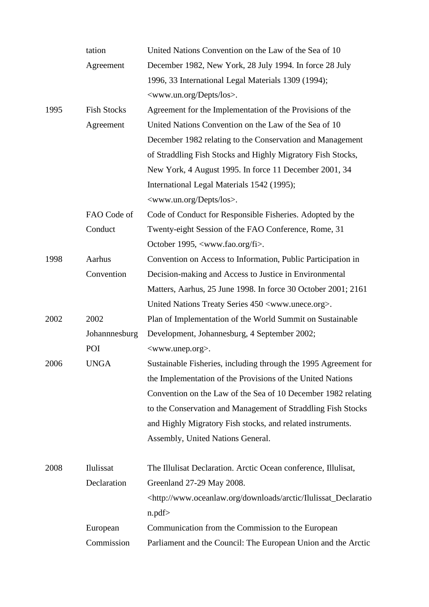|      | tation             | United Nations Convention on the Law of the Sea of 10                                     |  |  |  |  |  |  |  |  |  |
|------|--------------------|-------------------------------------------------------------------------------------------|--|--|--|--|--|--|--|--|--|
|      | Agreement          | December 1982, New York, 28 July 1994. In force 28 July                                   |  |  |  |  |  |  |  |  |  |
|      |                    | 1996, 33 International Legal Materials 1309 (1994);                                       |  |  |  |  |  |  |  |  |  |
|      |                    | <www.un.org depts="" los="">.</www.un.org>                                                |  |  |  |  |  |  |  |  |  |
| 1995 | <b>Fish Stocks</b> | Agreement for the Implementation of the Provisions of the                                 |  |  |  |  |  |  |  |  |  |
|      | Agreement          | United Nations Convention on the Law of the Sea of 10                                     |  |  |  |  |  |  |  |  |  |
|      |                    | December 1982 relating to the Conservation and Management                                 |  |  |  |  |  |  |  |  |  |
|      |                    | of Straddling Fish Stocks and Highly Migratory Fish Stocks,                               |  |  |  |  |  |  |  |  |  |
|      |                    | New York, 4 August 1995. In force 11 December 2001, 34                                    |  |  |  |  |  |  |  |  |  |
|      |                    | International Legal Materials 1542 (1995);                                                |  |  |  |  |  |  |  |  |  |
|      |                    | <www.un.org depts="" los="">.</www.un.org>                                                |  |  |  |  |  |  |  |  |  |
|      | FAO Code of        | Code of Conduct for Responsible Fisheries. Adopted by the                                 |  |  |  |  |  |  |  |  |  |
|      | Conduct            | Twenty-eight Session of the FAO Conference, Rome, 31                                      |  |  |  |  |  |  |  |  |  |
|      |                    | October 1995, <www.fao.org fi="">.</www.fao.org>                                          |  |  |  |  |  |  |  |  |  |
| 1998 | Aarhus             | Convention on Access to Information, Public Participation in                              |  |  |  |  |  |  |  |  |  |
|      | Convention         | Decision-making and Access to Justice in Environmental                                    |  |  |  |  |  |  |  |  |  |
|      |                    | Matters, Aarhus, 25 June 1998. In force 30 October 2001; 2161                             |  |  |  |  |  |  |  |  |  |
|      |                    | United Nations Treaty Series 450 <www.unece.org>.</www.unece.org>                         |  |  |  |  |  |  |  |  |  |
| 2002 | 2002               | Plan of Implementation of the World Summit on Sustainable                                 |  |  |  |  |  |  |  |  |  |
|      | Johannnesburg      | Development, Johannesburg, 4 September 2002;                                              |  |  |  |  |  |  |  |  |  |
|      | POI                | <www.unep.org>.</www.unep.org>                                                            |  |  |  |  |  |  |  |  |  |
| 2006 | <b>UNGA</b>        | Sustainable Fisheries, including through the 1995 Agreement for                           |  |  |  |  |  |  |  |  |  |
|      |                    | the Implementation of the Provisions of the United Nations                                |  |  |  |  |  |  |  |  |  |
|      |                    | Convention on the Law of the Sea of 10 December 1982 relating                             |  |  |  |  |  |  |  |  |  |
|      |                    | to the Conservation and Management of Straddling Fish Stocks                              |  |  |  |  |  |  |  |  |  |
|      |                    | and Highly Migratory Fish stocks, and related instruments.                                |  |  |  |  |  |  |  |  |  |
|      |                    | Assembly, United Nations General.                                                         |  |  |  |  |  |  |  |  |  |
| 2008 | Ilulissat          | The Illulisat Declaration. Arctic Ocean conference, Illulisat,                            |  |  |  |  |  |  |  |  |  |
|      | Declaration        | Greenland 27-29 May 2008.                                                                 |  |  |  |  |  |  |  |  |  |
|      |                    | <http: arctic="" downloads="" ilulissat_declaratio<="" td="" www.oceanlaw.org=""></http:> |  |  |  |  |  |  |  |  |  |
|      |                    | n.pdf                                                                                     |  |  |  |  |  |  |  |  |  |
|      | European           | Communication from the Commission to the European                                         |  |  |  |  |  |  |  |  |  |
|      | Commission         | Parliament and the Council: The European Union and the Arctic                             |  |  |  |  |  |  |  |  |  |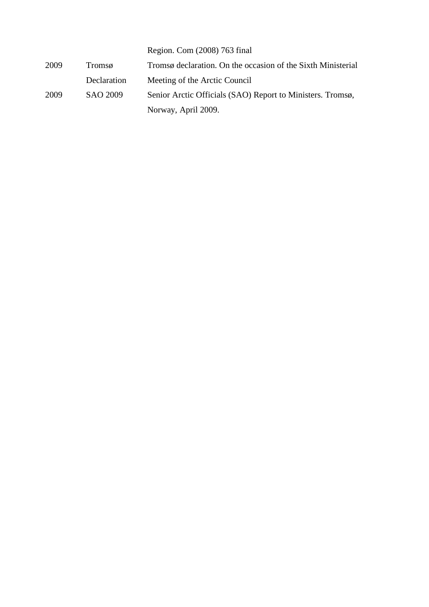|      |             | Region. Com (2008) 763 final                                 |
|------|-------------|--------------------------------------------------------------|
| 2009 | Tromsø      | Tromsø declaration. On the occasion of the Sixth Ministerial |
|      | Declaration | Meeting of the Arctic Council                                |
| 2009 | SAO 2009    | Senior Arctic Officials (SAO) Report to Ministers. Tromsø,   |
|      |             | Norway, April 2009.                                          |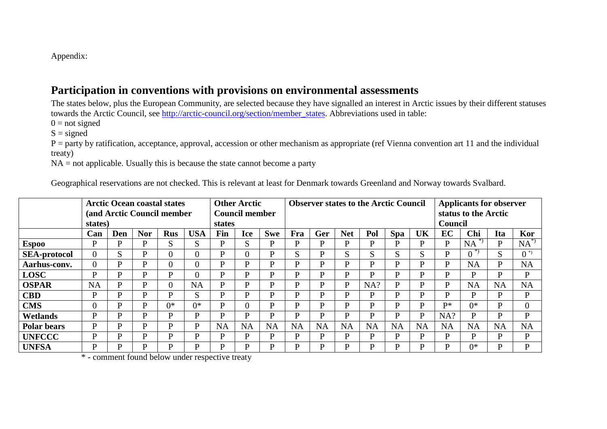Appendix:

## **Participation in conventions with provisions on environmental assessments**

The states below, plus the European Community, are selected because they have signalled an interest in Arctic issues by their different statuses towards the Arctic Council, see http://arctic-council.org/section/member\_states. Abbreviations used in table:

 $0 = not signed$ 

 $S = signed$ 

 P = party by ratification, acceptance, approval, accession or other mechanism as appropriate (ref Vienna convention art 11 and the individual treaty)

NA = not applicable. Usually this is because the state cannot become a party

Geographical reservations are not checked. This is relevant at least for Denmark towards Greenland and Norway towards Svalbard.

|                     | <b>Arctic Ocean coastal states</b><br>(and Arctic Council member<br>states) |              |            |            | <b>Other Arctic</b><br><b>Council member</b><br>states |           |                | <b>Observer states to the Arctic Council</b> |           |           |            |           |              |           | <b>Applicants for observer</b><br>status to the Arctic<br><b>Council</b> |           |           |           |
|---------------------|-----------------------------------------------------------------------------|--------------|------------|------------|--------------------------------------------------------|-----------|----------------|----------------------------------------------|-----------|-----------|------------|-----------|--------------|-----------|--------------------------------------------------------------------------|-----------|-----------|-----------|
|                     | Can                                                                         | Den          | <b>Nor</b> | <b>Rus</b> | <b>USA</b>                                             | Fin       | <b>Ice</b>     | <b>Swe</b>                                   | Fra       | Ger       | <b>Net</b> | Pol       | <b>Spa</b>   | UK        | EC                                                                       | Chi       | Ita       | Kor       |
| <b>Espoo</b>        | P                                                                           | P            | P          | S          | S                                                      | D         | S              | P                                            | P         | P         | D          | P         | P            | D         | P                                                                        | <b>NA</b> | D         | $NA^*$    |
| <b>SEA-protocol</b> |                                                                             | S            | P          |            | $\theta$                                               | D         | $\theta$       | P                                            | U<br>гŌ.  | P         | U<br>N.    | S         | S            | S         | P                                                                        | -* )      |           | $0^{(*)}$ |
| Aarhus-conv.        | 0                                                                           | $\mathbf{P}$ | P          | $\Omega$   | $\theta$                                               | Þ         | D              | $\mathbf{P}$                                 | P         | P         | D          | P         | $\mathbf{P}$ | D         | P                                                                        | <b>NA</b> | P         | <b>NA</b> |
| <b>LOSC</b>         | P                                                                           | $\mathbf{P}$ | P          | P          |                                                        | P         | P              | $\mathbf{P}$                                 | P         | P         | D          | P         | $\mathbf{P}$ | P         | P                                                                        | D         | D         | D         |
| <b>OSPAR</b>        | <b>NA</b>                                                                   | P            | P          |            | <b>NA</b>                                              | P         | D              | P                                            | P         | P         | D          | NA?       | P            | D         | D                                                                        | <b>NA</b> | <b>NA</b> | <b>NA</b> |
| <b>CBD</b>          | D                                                                           | $\mathbf{P}$ | P          | D          | S                                                      | D         | D              | P                                            | D         | P         | D          | P         | P            | D         | D                                                                        | D         | D         | P         |
| <b>CMS</b>          |                                                                             | $\mathbf{P}$ | P          | $0*$       | $0^*$                                                  | D         | $\overline{0}$ | P                                            | P         | P         | D          | P         | P            | D         | $\mathbf{D}^*$                                                           | $0^*$     | D         | $\Omega$  |
| <b>Wetlands</b>     | D                                                                           | P            | P          | D          | D                                                      | D         | D              | P                                            | D         | P         | D          | P         | P            | D         | NA?                                                                      | D         | D         | <b>D</b>  |
| <b>Polar bears</b>  | D                                                                           | P            | P          | D          | D                                                      | <b>NA</b> | <b>NA</b>      | <b>NA</b>                                    | <b>NA</b> | <b>NA</b> | <b>NA</b>  | <b>NA</b> | <b>NA</b>    | <b>NA</b> | <b>NA</b>                                                                | <b>NA</b> | <b>NA</b> | <b>NA</b> |
| <b>UNFCCC</b>       | D                                                                           | P            | P          | D          | D                                                      | D         | P              | P                                            | P         | P         | D          | P         | P            | D         | P                                                                        | D         | D         | P         |
| <b>UNFSA</b>        | P                                                                           | P<br>$\sim$  | P<br>.     | P          | D                                                      | D         | P              | $\mathbf{P}$                                 | D         | D         | D          | P         | P            | D         | D                                                                        | 0*        | D         | D         |

\* - comment found below under respective treaty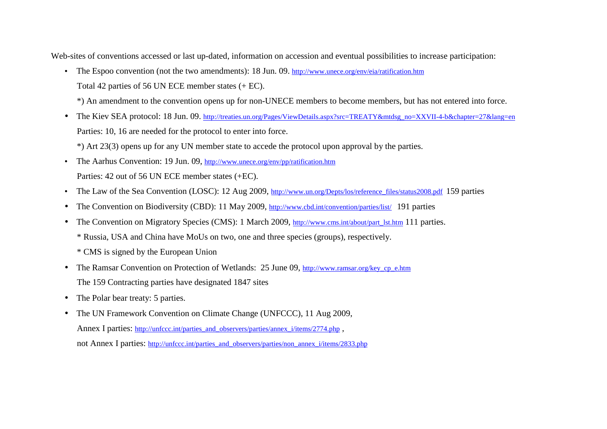Web-sites of conventions accessed or last up-dated, information on accession and eventual possibilities to increase participation:

• The Espoo convention (not the two amendments): 18 Jun. 09. http://www.unece.org/env/eia/ratification.htm Total 42 parties of 56 UN ECE member states (+ EC).

\*) An amendment to the convention opens up for non-UNECE members to become members, but has not entered into force.

• The Kiev SEA protocol: 18 Jun. 09. <u>http://treaties.un.org/Pages/ViewDetails.aspx?src=TREATY&mtdsg\_no=XXVII-4-b&chapter=27&lang=en</u> Parties: 10, 16 are needed for the protocol to enter into force.

\*) Art 23(3) opens up for any UN member state to accede the protocol upon approval by the parties.

- The Aarhus Convention: 19 Jun. 09, http://www.unece.org/env/pp/ratification.htm Parties: 42 out of 56 UN ECE member states (+EC).
- The Law of the Sea Convention (LOSC): 12 Aug 2009, <u>http://www.un.org/Depts/los/reference\_files/status2008.pdf</u> 159 parties
- $\bullet$ The Convention on Biodiversity (CBD): 11 May 2009, http://www.cbd.int/convention/parties/list/ 191 parties
- • The Convention on Migratory Species (CMS): 1 March 2009, http://www.cms.int/about/part\_lst.htm 111 parties.
	- \* Russia, USA and China have MoUs on two, one and three species (groups), respectively.
	- \* CMS is signed by the European Union
- The Ramsar Convention on Protection of Wetlands: 25 June 09, http://www.ramsar.org/key\_cp\_e.htm The 159 Contracting parties have designated 1847 sites
- $\bullet$ The Polar bear treaty: 5 parties.
- The UN Framework Convention on Climate Change (UNFCCC), 11 Aug 2009, Annex I parties: http://unfccc.int/parties\_and\_observers/parties/annex\_i/items/2774.php , not Annex I parties: http://unfccc.int/parties\_and\_observers/parties/non\_annex\_i/items/2833.php